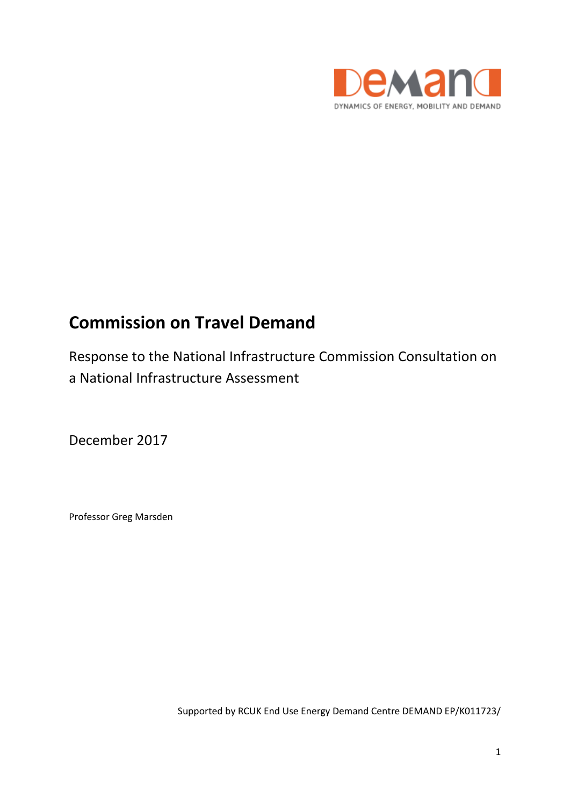

# **Commission on Travel Demand**

Response to the National Infrastructure Commission Consultation on a National Infrastructure Assessment

December 2017

Professor Greg Marsden

Supported by RCUK End Use Energy Demand Centre DEMAND EP/K011723/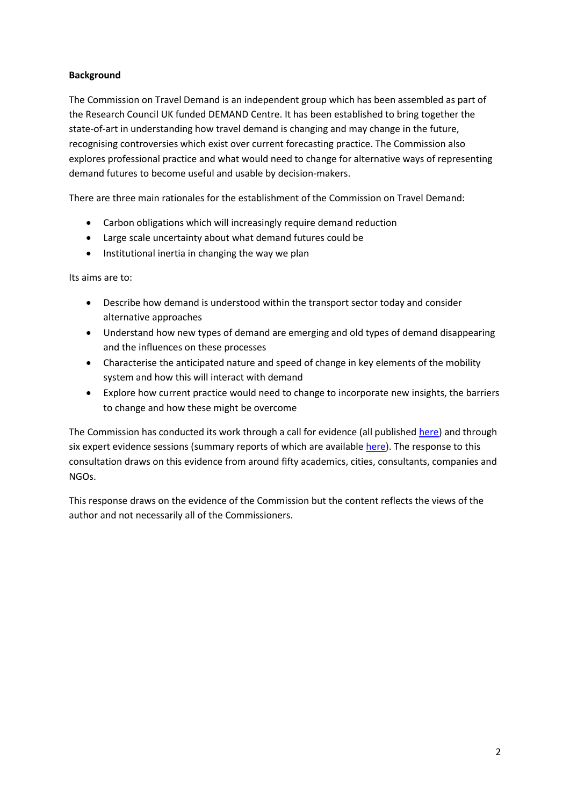## **Background**

The Commission on Travel Demand is an independent group which has been assembled as part of the Research Council UK funded DEMAND Centre. It has been established to bring together the state-of-art in understanding how travel demand is changing and may change in the future, recognising controversies which exist over current forecasting practice. The Commission also explores professional practice and what would need to change for alternative ways of representing demand futures to become useful and usable by decision-makers.

There are three main rationales for the establishment of the Commission on Travel Demand:

- Carbon obligations which will increasingly require demand reduction
- Large scale uncertainty about what demand futures could be
- Institutional inertia in changing the way we plan

Its aims are to:

- Describe how demand is understood within the transport sector today and consider alternative approaches
- Understand how new types of demand are emerging and old types of demand disappearing and the influences on these processes
- Characterise the anticipated nature and speed of change in key elements of the mobility system and how this will interact with demand
- Explore how current practice would need to change to incorporate new insights, the barriers to change and how these might be overcome

The Commission has conducted its work through a call for evidence (all publishe[d here\)](http://www.demand.ac.uk/commission-on-travel-demand/evidence/) and through six expert evidence sessions (summary reports of which are available [here\)](http://www.demand.ac.uk/commission-on-travel-demand/events/). The response to this consultation draws on this evidence from around fifty academics, cities, consultants, companies and NGOs.

This response draws on the evidence of the Commission but the content reflects the views of the author and not necessarily all of the Commissioners.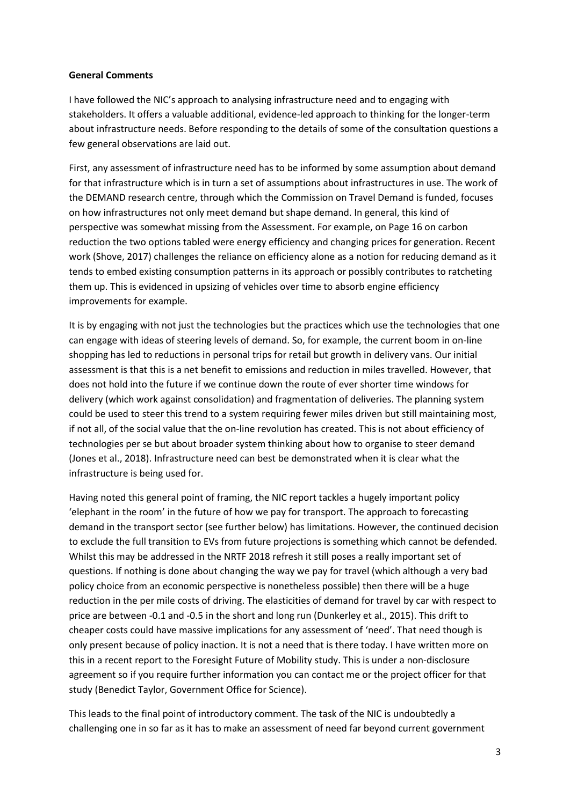#### **General Comments**

I have followed the NIC's approach to analysing infrastructure need and to engaging with stakeholders. It offers a valuable additional, evidence-led approach to thinking for the longer-term about infrastructure needs. Before responding to the details of some of the consultation questions a few general observations are laid out.

First, any assessment of infrastructure need has to be informed by some assumption about demand for that infrastructure which is in turn a set of assumptions about infrastructures in use. The work of the DEMAND research centre, through which the Commission on Travel Demand is funded, focuses on how infrastructures not only meet demand but shape demand. In general, this kind of perspective was somewhat missing from the Assessment. For example, on Page 16 on carbon reduction the two options tabled were energy efficiency and changing prices for generation. Recent work (Shove, 2017) challenges the reliance on efficiency alone as a notion for reducing demand as it tends to embed existing consumption patterns in its approach or possibly contributes to ratcheting them up. This is evidenced in upsizing of vehicles over time to absorb engine efficiency improvements for example.

It is by engaging with not just the technologies but the practices which use the technologies that one can engage with ideas of steering levels of demand. So, for example, the current boom in on-line shopping has led to reductions in personal trips for retail but growth in delivery vans. Our initial assessment is that this is a net benefit to emissions and reduction in miles travelled. However, that does not hold into the future if we continue down the route of ever shorter time windows for delivery (which work against consolidation) and fragmentation of deliveries. The planning system could be used to steer this trend to a system requiring fewer miles driven but still maintaining most, if not all, of the social value that the on-line revolution has created. This is not about efficiency of technologies per se but about broader system thinking about how to organise to steer demand (Jones et al., 2018). Infrastructure need can best be demonstrated when it is clear what the infrastructure is being used for.

Having noted this general point of framing, the NIC report tackles a hugely important policy 'elephant in the room' in the future of how we pay for transport. The approach to forecasting demand in the transport sector (see further below) has limitations. However, the continued decision to exclude the full transition to EVs from future projections is something which cannot be defended. Whilst this may be addressed in the NRTF 2018 refresh it still poses a really important set of questions. If nothing is done about changing the way we pay for travel (which although a very bad policy choice from an economic perspective is nonetheless possible) then there will be a huge reduction in the per mile costs of driving. The elasticities of demand for travel by car with respect to price are between -0.1 and -0.5 in the short and long run (Dunkerley et al., 2015). This drift to cheaper costs could have massive implications for any assessment of 'need'. That need though is only present because of policy inaction. It is not a need that is there today. I have written more on this in a recent report to the Foresight Future of Mobility study. This is under a non-disclosure agreement so if you require further information you can contact me or the project officer for that study (Benedict Taylor, Government Office for Science).

This leads to the final point of introductory comment. The task of the NIC is undoubtedly a challenging one in so far as it has to make an assessment of need far beyond current government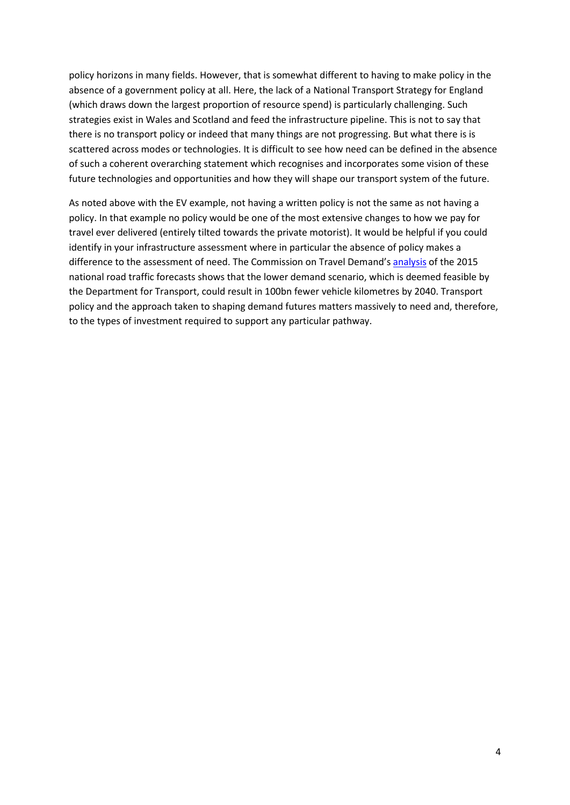policy horizons in many fields. However, that is somewhat different to having to make policy in the absence of a government policy at all. Here, the lack of a National Transport Strategy for England (which draws down the largest proportion of resource spend) is particularly challenging. Such strategies exist in Wales and Scotland and feed the infrastructure pipeline. This is not to say that there is no transport policy or indeed that many things are not progressing. But what there is is scattered across modes or technologies. It is difficult to see how need can be defined in the absence of such a coherent overarching statement which recognises and incorporates some vision of these future technologies and opportunities and how they will shape our transport system of the future.

As noted above with the EV example, not having a written policy is not the same as not having a policy. In that example no policy would be one of the most extensive changes to how we pay for travel ever delivered (entirely tilted towards the private motorist). It would be helpful if you could identify in your infrastructure assessment where in particular the absence of policy makes a difference to the assessment of need. The Commission on Travel Demand'[s analysis](http://www.demand.ac.uk/commission-on-travel-demand/evidence-session-6-implications-for-decision-making/) of the 2015 national road traffic forecasts shows that the lower demand scenario, which is deemed feasible by the Department for Transport, could result in 100bn fewer vehicle kilometres by 2040. Transport policy and the approach taken to shaping demand futures matters massively to need and, therefore, to the types of investment required to support any particular pathway.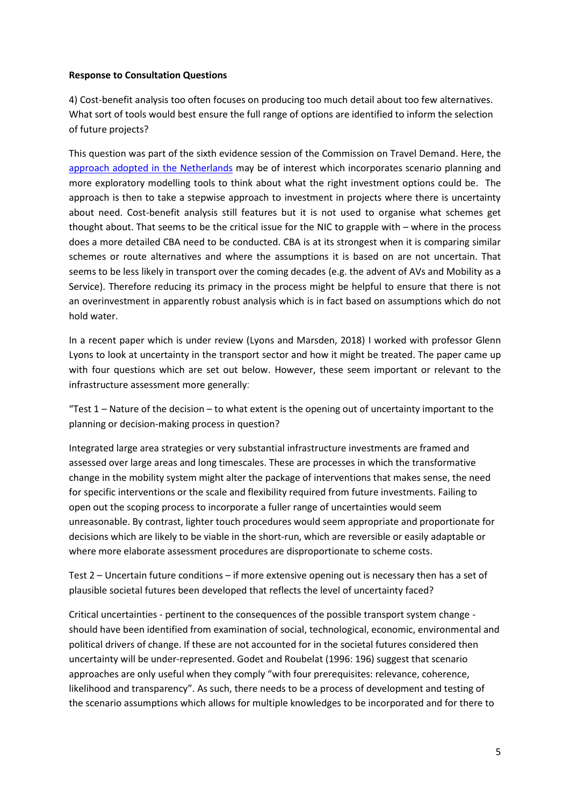### **Response to Consultation Questions**

4) Cost-benefit analysis too often focuses on producing too much detail about too few alternatives. What sort of tools would best ensure the full range of options are identified to inform the selection of future projects?

This question was part of the sixth evidence session of the Commission on Travel Demand. Here, the [approach adopted in the Netherlands](http://www.demand.ac.uk/wp-content/uploads/2017/12/Presentation-Erik-Verroen-evidence-session-11212017-b.pdf) may be of interest which incorporates scenario planning and more exploratory modelling tools to think about what the right investment options could be. The approach is then to take a stepwise approach to investment in projects where there is uncertainty about need. Cost-benefit analysis still features but it is not used to organise what schemes get thought about. That seems to be the critical issue for the NIC to grapple with – where in the process does a more detailed CBA need to be conducted. CBA is at its strongest when it is comparing similar schemes or route alternatives and where the assumptions it is based on are not uncertain. That seems to be less likely in transport over the coming decades (e.g. the advent of AVs and Mobility as a Service). Therefore reducing its primacy in the process might be helpful to ensure that there is not an overinvestment in apparently robust analysis which is in fact based on assumptions which do not hold water.

In a recent paper which is under review (Lyons and Marsden, 2018) I worked with professor Glenn Lyons to look at uncertainty in the transport sector and how it might be treated. The paper came up with four questions which are set out below. However, these seem important or relevant to the infrastructure assessment more generallyː

"Test  $1 -$  Nature of the decision  $-$  to what extent is the opening out of uncertainty important to the planning or decision-making process in question?

Integrated large area strategies or very substantial infrastructure investments are framed and assessed over large areas and long timescales. These are processes in which the transformative change in the mobility system might alter the package of interventions that makes sense, the need for specific interventions or the scale and flexibility required from future investments. Failing to open out the scoping process to incorporate a fuller range of uncertainties would seem unreasonable. By contrast, lighter touch procedures would seem appropriate and proportionate for decisions which are likely to be viable in the short-run, which are reversible or easily adaptable or where more elaborate assessment procedures are disproportionate to scheme costs.

Test 2 – Uncertain future conditions – if more extensive opening out is necessary then has a set of plausible societal futures been developed that reflects the level of uncertainty faced?

Critical uncertainties - pertinent to the consequences of the possible transport system change should have been identified from examination of social, technological, economic, environmental and political drivers of change. If these are not accounted for in the societal futures considered then uncertainty will be under-represented. Godet and Roubelat (1996: 196) suggest that scenario approaches are only useful when they comply "with four prerequisites: relevance, coherence, likelihood and transparency". As such, there needs to be a process of development and testing of the scenario assumptions which allows for multiple knowledges to be incorporated and for there to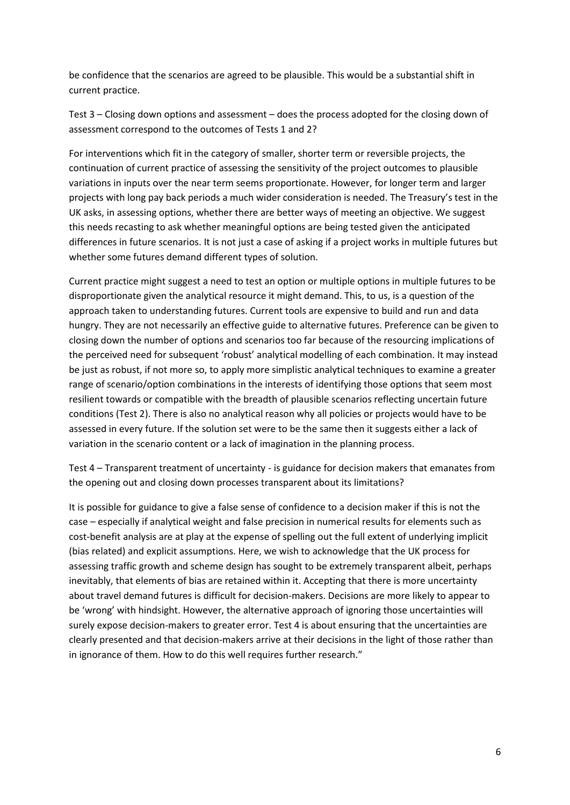be confidence that the scenarios are agreed to be plausible. This would be a substantial shift in current practice.

Test 3 – Closing down options and assessment – does the process adopted for the closing down of assessment correspond to the outcomes of Tests 1 and 2?

For interventions which fit in the category of smaller, shorter term or reversible projects, the continuation of current practice of assessing the sensitivity of the project outcomes to plausible variations in inputs over the near term seems proportionate. However, for longer term and larger projects with long pay back periods a much wider consideration is needed. The Treasury's test in the UK asks, in assessing options, whether there are better ways of meeting an objective. We suggest this needs recasting to ask whether meaningful options are being tested given the anticipated differences in future scenarios. It is not just a case of asking if a project works in multiple futures but whether some futures demand different types of solution.

Current practice might suggest a need to test an option or multiple options in multiple futures to be disproportionate given the analytical resource it might demand. This, to us, is a question of the approach taken to understanding futures. Current tools are expensive to build and run and data hungry. They are not necessarily an effective guide to alternative futures. Preference can be given to closing down the number of options and scenarios too far because of the resourcing implications of the perceived need for subsequent 'robust' analytical modelling of each combination. It may instead be just as robust, if not more so, to apply more simplistic analytical techniques to examine a greater range of scenario/option combinations in the interests of identifying those options that seem most resilient towards or compatible with the breadth of plausible scenarios reflecting uncertain future conditions (Test 2). There is also no analytical reason why all policies or projects would have to be assessed in every future. If the solution set were to be the same then it suggests either a lack of variation in the scenario content or a lack of imagination in the planning process.

Test 4 – Transparent treatment of uncertainty - is guidance for decision makers that emanates from the opening out and closing down processes transparent about its limitations?

It is possible for guidance to give a false sense of confidence to a decision maker if this is not the case – especially if analytical weight and false precision in numerical results for elements such as cost-benefit analysis are at play at the expense of spelling out the full extent of underlying implicit (bias related) and explicit assumptions. Here, we wish to acknowledge that the UK process for assessing traffic growth and scheme design has sought to be extremely transparent albeit, perhaps inevitably, that elements of bias are retained within it. Accepting that there is more uncertainty about travel demand futures is difficult for decision-makers. Decisions are more likely to appear to be 'wrong' with hindsight. However, the alternative approach of ignoring those uncertainties will surely expose decision-makers to greater error. Test 4 is about ensuring that the uncertainties are clearly presented and that decision-makers arrive at their decisions in the light of those rather than in ignorance of them. How to do this well requires further research."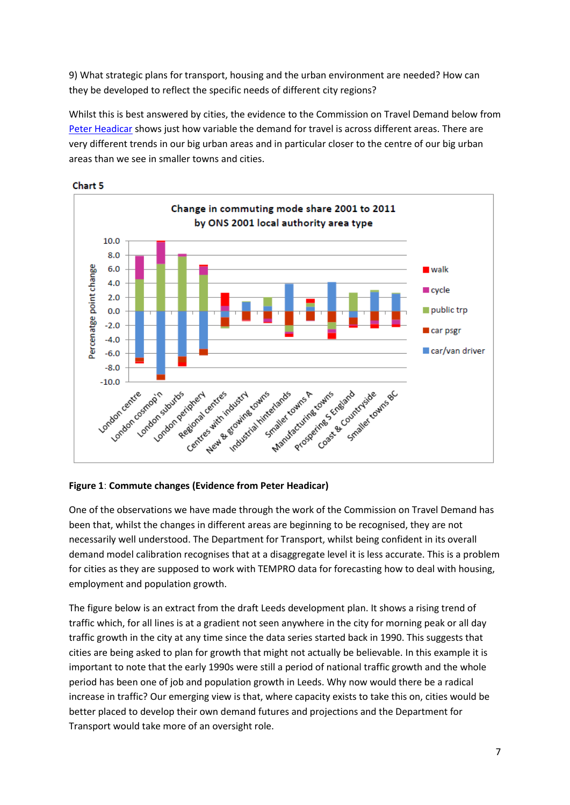9) What strategic plans for transport, housing and the urban environment are needed? How can they be developed to reflect the specific needs of different city regions?

Whilst this is best answered by cities, the evidence to the Commission on Travel Demand below from [Peter Headicar](http://www.demand.ac.uk/wp-content/uploads/2017/03/16-EC1-Peter-Headicar-01.pdf) shows just how variable the demand for travel is across different areas. There are very different trends in our big urban areas and in particular closer to the centre of our big urban areas than we see in smaller towns and cities.





## **Figure 1ː Commute changes (Evidence from Peter Headicar)**

One of the observations we have made through the work of the Commission on Travel Demand has been that, whilst the changes in different areas are beginning to be recognised, they are not necessarily well understood. The Department for Transport, whilst being confident in its overall demand model calibration recognises that at a disaggregate level it is less accurate. This is a problem for cities as they are supposed to work with TEMPRO data for forecasting how to deal with housing, employment and population growth.

The figure below is an extract from the draft Leeds development plan. It shows a rising trend of traffic which, for all lines is at a gradient not seen anywhere in the city for morning peak or all day traffic growth in the city at any time since the data series started back in 1990. This suggests that cities are being asked to plan for growth that might not actually be believable. In this example it is important to note that the early 1990s were still a period of national traffic growth and the whole period has been one of job and population growth in Leeds. Why now would there be a radical increase in traffic? Our emerging view is that, where capacity exists to take this on, cities would be better placed to develop their own demand futures and projections and the Department for Transport would take more of an oversight role.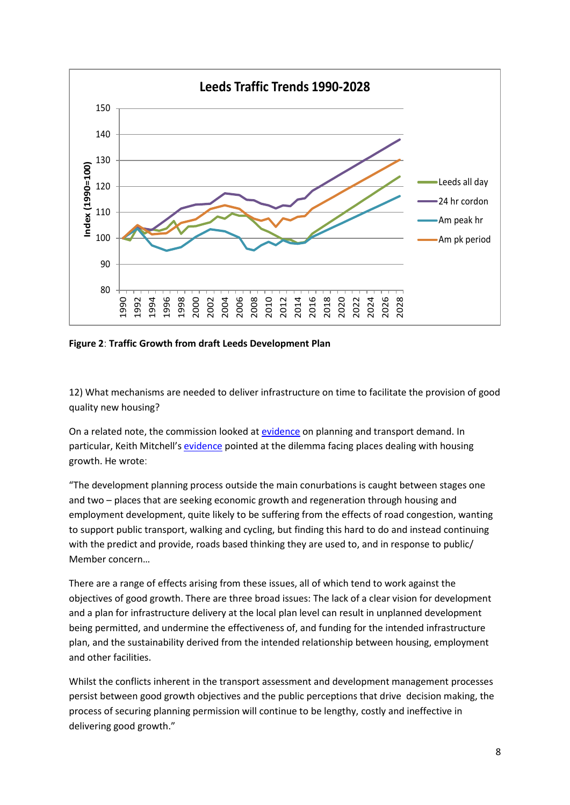

**Figure 2ː Traffic Growth from draft Leeds Development Plan**

12) What mechanisms are needed to deliver infrastructure on time to facilitate the provision of good quality new housing?

On a related note, the commission looked at [evidence](http://www.demand.ac.uk/commission-on-travel-demand/evidence-session-5/) on planning and transport demand. In particular, Keith Mitchell's [evidence](http://www.demand.ac.uk/wp-content/uploads/2017/03/27-EC1-Mitchell.pdf) pointed at the dilemma facing places dealing with housing growth. He wroteː

"The development planning process outside the main conurbations is caught between stages one and two – places that are seeking economic growth and regeneration through housing and employment development, quite likely to be suffering from the effects of road congestion, wanting to support public transport, walking and cycling, but finding this hard to do and instead continuing with the predict and provide, roads based thinking they are used to, and in response to public/ Member concern…

There are a range of effects arising from these issues, all of which tend to work against the objectives of good growth. There are three broad issues: The lack of a clear vision for development and a plan for infrastructure delivery at the local plan level can result in unplanned development being permitted, and undermine the effectiveness of, and funding for the intended infrastructure plan, and the sustainability derived from the intended relationship between housing, employment and other facilities.

Whilst the conflicts inherent in the transport assessment and development management processes persist between good growth objectives and the public perceptions that drive decision making, the process of securing planning permission will continue to be lengthy, costly and ineffective in delivering good growth."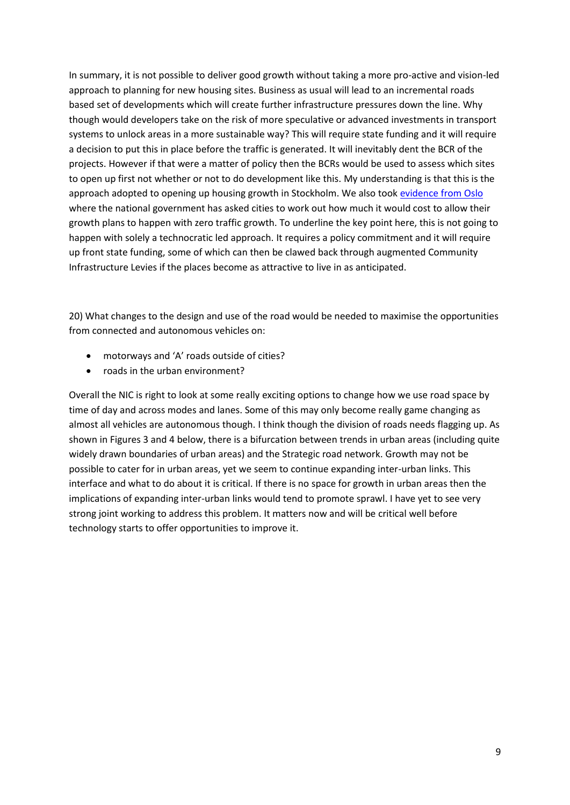In summary, it is not possible to deliver good growth without taking a more pro-active and vision-led approach to planning for new housing sites. Business as usual will lead to an incremental roads based set of developments which will create further infrastructure pressures down the line. Why though would developers take on the risk of more speculative or advanced investments in transport systems to unlock areas in a more sustainable way? This will require state funding and it will require a decision to put this in place before the traffic is generated. It will inevitably dent the BCR of the projects. However if that were a matter of policy then the BCRs would be used to assess which sites to open up first not whether or not to do development like this. My understanding is that this is the approach adopted to opening up housing growth in Stockholm. We also took [evidence from Oslo](http://www.demand.ac.uk/wp-content/uploads/2017/11/Commission-Tennoy.pdf) where the national government has asked cities to work out how much it would cost to allow their growth plans to happen with zero traffic growth. To underline the key point here, this is not going to happen with solely a technocratic led approach. It requires a policy commitment and it will require up front state funding, some of which can then be clawed back through augmented Community Infrastructure Levies if the places become as attractive to live in as anticipated.

20) What changes to the design and use of the road would be needed to maximise the opportunities from connected and autonomous vehicles on:

- motorways and 'A' roads outside of cities?
- roads in the urban environment?

Overall the NIC is right to look at some really exciting options to change how we use road space by time of day and across modes and lanes. Some of this may only become really game changing as almost all vehicles are autonomous though. I think though the division of roads needs flagging up. As shown in Figures 3 and 4 below, there is a bifurcation between trends in urban areas (including quite widely drawn boundaries of urban areas) and the Strategic road network. Growth may not be possible to cater for in urban areas, yet we seem to continue expanding inter-urban links. This interface and what to do about it is critical. If there is no space for growth in urban areas then the implications of expanding inter-urban links would tend to promote sprawl. I have yet to see very strong joint working to address this problem. It matters now and will be critical well before technology starts to offer opportunities to improve it.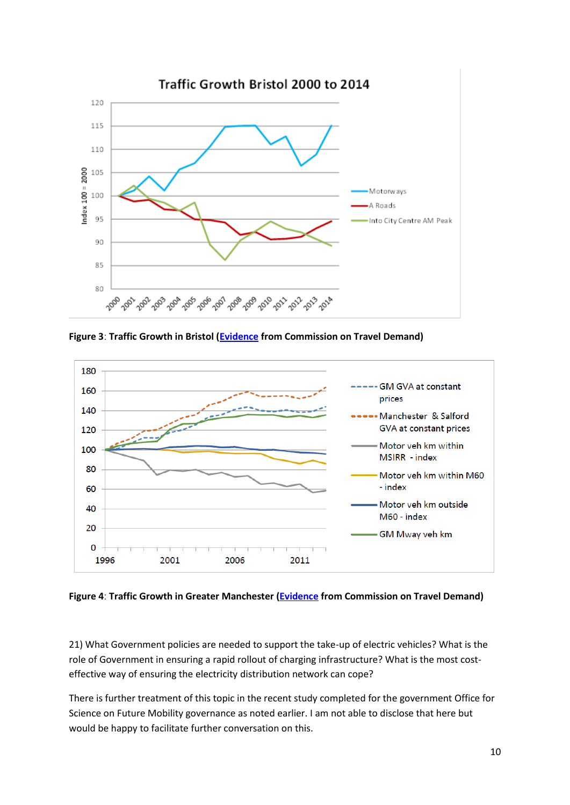

**Figure 3ː Traffic Growth in Bristol [\(Evidence](http://www.demand.ac.uk/wp-content/uploads/2017/03/03-EC1-Bristol-City-Council-01.pdf) from Commission on Travel Demand)**



**Figure 4ː Traffic Growth in Greater Manchester [\(Evidence](http://www.demand.ac.uk/wp-content/uploads/2017/03/21-EC1-Transport-for-Greater-Manchester-01.pdf) from Commission on Travel Demand)**

21) What Government policies are needed to support the take-up of electric vehicles? What is the role of Government in ensuring a rapid rollout of charging infrastructure? What is the most costeffective way of ensuring the electricity distribution network can cope?

There is further treatment of this topic in the recent study completed for the government Office for Science on Future Mobility governance as noted earlier. I am not able to disclose that here but would be happy to facilitate further conversation on this.